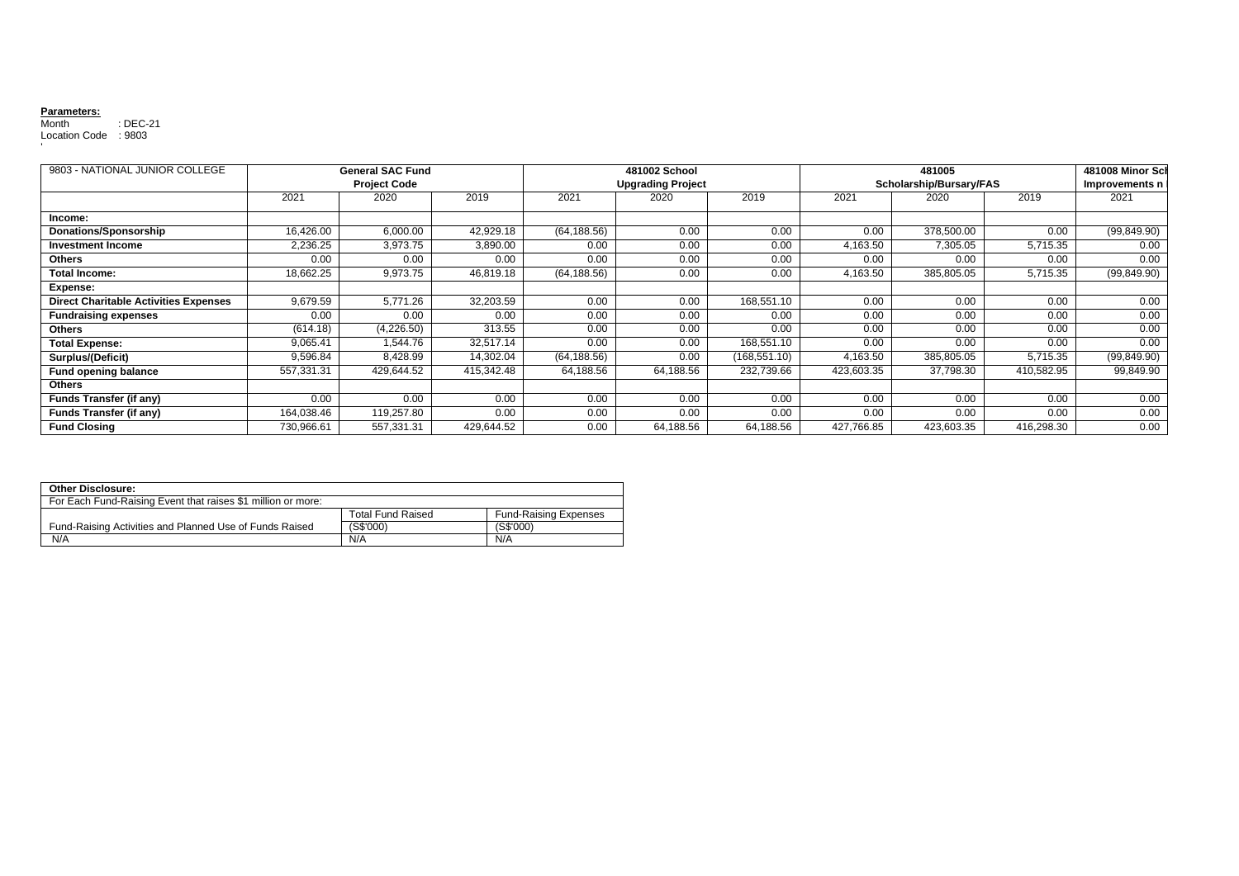## **Parameters:**

Month : DEC-21 Location Code : 9803 '

| 9803 - NATIONAL JUNIOR COLLEGE               |            | <b>General SAC Fund</b> |            |              | 481002 School            |              |            | 481005                  |                   | 481008 Minor Sch |
|----------------------------------------------|------------|-------------------------|------------|--------------|--------------------------|--------------|------------|-------------------------|-------------------|------------------|
|                                              |            | <b>Project Code</b>     |            |              | <b>Upgrading Project</b> |              |            | Scholarship/Bursary/FAS |                   |                  |
|                                              | 2021       | 2020                    | 2019       | 2021         | 2020                     | 2019         | 2021       | 2020                    | 2019              | 2021             |
| Income:                                      |            |                         |            |              |                          |              |            |                         |                   |                  |
| Donations/Sponsorship                        | 16,426.00  | 6,000.00                | 42,929.18  | (64, 188.56) | 0.00                     | 0.00         | 0.00       | 378,500.00              | 0.00              | (99, 849.90)     |
| <b>Investment Income</b>                     | 2,236.25   | 3,973.75                | 3,890.00   | 0.00         | 0.00                     | 0.00         | 4,163.50   | 7,305.05                | 5,715.35          | 0.00             |
| <b>Others</b>                                | 0.00       | 0.00                    | 0.00       | 0.00         | 0.00                     | 0.00         | 0.00       | 0.00                    | 0.00              | 0.00             |
| <b>Total Income:</b>                         | 18,662.25  | 9,973.75                | 46,819.18  | (64, 188.56) | 0.00                     | 0.00         | 4,163.50   | 385,805.05              | 5,715.35          | (99, 849.90)     |
| Expense:                                     |            |                         |            |              |                          |              |            |                         |                   |                  |
| <b>Direct Charitable Activities Expenses</b> | 9,679.59   | 5,771.26                | 32,203.59  | 0.00         | 0.00                     | 168,551.10   | 0.00       | 0.00                    | 0.00              | 0.00             |
| <b>Fundraising expenses</b>                  | 0.00       | 0.00                    | 0.00       | 0.00         | 0.00                     | 0.00         | 0.00       | 0.00                    | 0.00              | 0.00             |
| <b>Others</b>                                | (614.18)   | (4,226.50)              | 313.55     | 0.00         | 0.00                     | 0.00         | 0.00       | 0.00                    | 0.00              | 0.00             |
| <b>Total Expense:</b>                        | 9,065.41   | 1.544.76                | 32,517.14  | 0.00         | 0.00                     | 168,551.10   | 0.00       | 0.00                    | 0.00              | 0.00             |
| Surplus/(Deficit)                            | 9,596.84   | 8,428.99                | 14,302.04  | (64, 188.56) | 0.00                     | (168,551.10) | 4,163.50   | 385,805.05              | 5,715.35          | (99, 849.90)     |
| <b>Fund opening balance</b>                  | 557,331.31 | 429,644.52              | 415.342.48 | 64,188.56    | 64,188.56                | 232,739.66   | 423,603.35 | 37,798.30               | 410,582.95        | 99,849.90        |
| <b>Others</b>                                |            |                         |            |              |                          |              |            |                         |                   |                  |
| <b>Funds Transfer (if any)</b>               | 0.00       | 0.00                    | 0.00       | 0.00         | 0.00                     | 0.00         | 0.00       | 0.00                    | $0.\overline{00}$ | 0.00             |
| <b>Funds Transfer (if any)</b>               | 164,038.46 | 119,257.80              | 0.00       | 0.00         | 0.00                     | 0.00         | 0.00       | 0.00                    | 0.00              | 0.00             |
| <b>Fund Closing</b>                          | 730,966.61 | 557,331.31              | 429,644.52 | 0.00         | 64,188.56                | 64,188.56    | 427,766.85 | 423,603.35              | 416,298.30        | 0.00             |

| Other Disclosure:                                            |                          |                              |  |  |  |  |
|--------------------------------------------------------------|--------------------------|------------------------------|--|--|--|--|
| For Each Fund-Raising Event that raises \$1 million or more: |                          |                              |  |  |  |  |
|                                                              | <b>Total Fund Raised</b> | <b>Fund-Raising Expenses</b> |  |  |  |  |
| Fund-Raising Activities and Planned Use of Funds Raised      | (S\$'000)                | (S\$'000)                    |  |  |  |  |
| N/A                                                          | N/A                      | N/A                          |  |  |  |  |